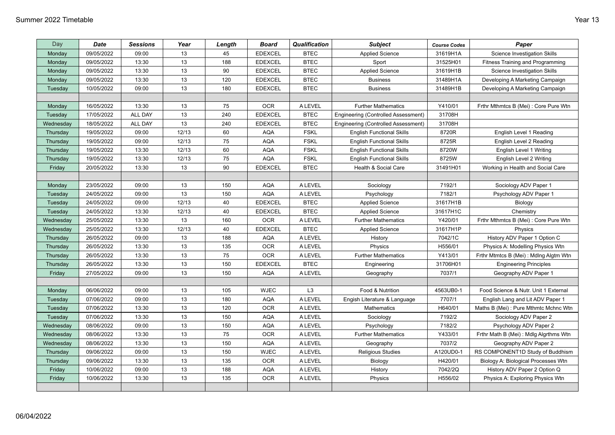| Day       | Date       | <b>Sessions</b> | Year  | Length | <b>Board</b>   | Qualification  | <b>Subject</b>                      | <b>Course Codes</b> | Paper                                 |
|-----------|------------|-----------------|-------|--------|----------------|----------------|-------------------------------------|---------------------|---------------------------------------|
| Monday    | 09/05/2022 | 09:00           | 13    | 45     | <b>EDEXCEL</b> | <b>BTEC</b>    | <b>Applied Science</b>              | 31619H1A            | <b>Science Investigation Skills</b>   |
| Monday    | 09/05/2022 | 13:30           | 13    | 188    | <b>EDEXCEL</b> | <b>BTEC</b>    | Sport                               | 31525H01            | Fitness Training and Programming      |
| Monday    | 09/05/2022 | 13:30           | 13    | 90     | <b>EDEXCEL</b> | <b>BTEC</b>    | <b>Applied Science</b>              | 31619H1B            | Science Investigation Skills          |
| Monday    | 09/05/2022 | 13:30           | 13    | 120    | <b>EDEXCEL</b> | <b>BTEC</b>    | <b>Business</b>                     | 31489H1A            | Developing A Marketing Campaign       |
| Tuesday   | 10/05/2022 | 09:00           | 13    | 180    | <b>EDEXCEL</b> | <b>BTEC</b>    | <b>Business</b>                     | 31489H1B            | Developing A Marketing Campaign       |
|           |            |                 |       |        |                |                |                                     |                     |                                       |
| Monday    | 16/05/2022 | 13:30           | 13    | 75     | <b>OCR</b>     | <b>ALEVEL</b>  | <b>Further Mathematics</b>          | Y410/01             | Frthr Mthmtcs B (Mei): Core Pure Wtn  |
| Tuesday   | 17/05/2022 | <b>ALL DAY</b>  | 13    | 240    | <b>EDEXCEL</b> | <b>BTEC</b>    | Engineering (Controlled Assessment) | 31708H              |                                       |
| Wednesday | 18/05/2022 | ALL DAY         | 13    | 240    | <b>EDEXCEL</b> | <b>BTEC</b>    | Engineering (Controlled Assessment) | 31708H              |                                       |
| Thursday  | 19/05/2022 | 09:00           | 12/13 | 60     | AQA            | <b>FSKL</b>    | <b>English Functional Skills</b>    | 8720R               | English Level 1 Reading               |
| Thursday  | 19/05/2022 | 09:00           | 12/13 | 75     | <b>AQA</b>     | <b>FSKL</b>    | <b>English Functional Skills</b>    | 8725R               | English Level 2 Reading               |
| Thursday  | 19/05/2022 | 13:30           | 12/13 | 60     | <b>AQA</b>     | <b>FSKL</b>    | <b>English Functional Skills</b>    | 8720W               | English Level 1 Writing               |
| Thursday  | 19/05/2022 | 13:30           | 12/13 | 75     | <b>AQA</b>     | <b>FSKL</b>    | <b>English Functional Skills</b>    | 8725W               | English Level 2 Writing               |
| Friday    | 20/05/2022 | 13:30           | 13    | 90     | <b>EDEXCEL</b> | <b>BTEC</b>    | Health & Social Care                | 31491H01            | Working in Health and Social Care     |
|           |            |                 |       |        |                |                |                                     |                     |                                       |
| Monday    | 23/05/2022 | 09:00           | 13    | 150    | <b>AQA</b>     | <b>ALEVEL</b>  | Sociology                           | 7192/1              | Sociology ADV Paper 1                 |
| Tuesday   | 24/05/2022 | 09:00           | 13    | 150    | <b>AQA</b>     | <b>ALEVEL</b>  | Psychology                          | 7182/1              | Psychology ADV Paper 1                |
| Tuesday   | 24/05/2022 | 09:00           | 12/13 | 40     | <b>EDEXCEL</b> | <b>BTEC</b>    | <b>Applied Science</b>              | 31617H1B            | Biology                               |
| Tuesday   | 24/05/2022 | 13:30           | 12/13 | 40     | <b>EDEXCEL</b> | <b>BTEC</b>    | <b>Applied Science</b>              | 31617H1C            | Chemistry                             |
| Wednesday | 25/05/2022 | 13:30           | 13    | 160    | <b>OCR</b>     | <b>ALEVEL</b>  | <b>Further Mathematics</b>          | Y420/01             | Frthr Mthmtcs B (Mei) : Core Pure Wtn |
| Wednesday | 25/05/2022 | 13:30           | 12/13 | 40     | <b>EDEXCEL</b> | <b>BTEC</b>    | <b>Applied Science</b>              | 31617H1P            | Physics                               |
| Thursday  | 26/05/2022 | 09:00           | 13    | 188    | <b>AQA</b>     | <b>ALEVEL</b>  | History                             | 7042/1C             | History ADV Paper 1 Option C          |
| Thursday  | 26/05/2022 | 13:30           | 13    | 135    | <b>OCR</b>     | <b>ALEVEL</b>  | Physics                             | H556/01             | Physics A: Modelling Physics Wtn      |
| Thursday  | 26/05/2022 | 13:30           | 13    | 75     | <b>OCR</b>     | <b>ALEVEL</b>  | <b>Further Mathematics</b>          | Y413/01             | Frthr Mtmtcs B (Mei): Mdlng Algtm Wtn |
| Thursday  | 26/05/2022 | 13:30           | 13    | 150    | <b>EDEXCEL</b> | <b>BTEC</b>    | Engineering                         | 31706H01            | <b>Engineering Principles</b>         |
| Friday    | 27/05/2022 | 09:00           | 13    | 150    | <b>AQA</b>     | <b>ALEVEL</b>  | Geography                           | 7037/1              | Geography ADV Paper 1                 |
|           |            |                 |       |        |                |                |                                     |                     |                                       |
| Monday    | 06/06/2022 | 09:00           | 13    | 105    | <b>WJEC</b>    | L <sub>3</sub> | Food & Nutrition                    | 4563UB0-1           | Food Science & Nutr. Unit 1 External  |
| Tuesday   | 07/06/2022 | 09:00           | 13    | 180    | <b>AQA</b>     | <b>A LEVEL</b> | Engish Literature & Language        | 7707/1              | English Lang and Lit ADV Paper 1      |
| Tuesday   | 07/06/2022 | 13:30           | 13    | 120    | <b>OCR</b>     | <b>ALEVEL</b>  | Mathematics                         | H640/01             | Maths B (Mei): Pure Mthmtc Mchnc Wtn  |
| Tuesday   | 07/06/2022 | 13:30           | 13    | 150    | <b>AQA</b>     | <b>ALEVEL</b>  | Sociology                           | 7192/2              | Sociology ADV Paper 2                 |
| Wednesday | 08/06/2022 | 09:00           | 13    | 150    | <b>AQA</b>     | <b>ALEVEL</b>  | Psychology                          | 7182/2              | Psychology ADV Paper 2                |
| Wednesday | 08/06/2022 | 13:30           | 13    | 75     | <b>OCR</b>     | <b>ALEVEL</b>  | <b>Further Mathematics</b>          | Y433/01             | Frthr Math B (Mei): Mdlg Algrthms Wtn |
| Wednesday | 08/06/2022 | 13:30           | 13    | 150    | <b>AQA</b>     | <b>ALEVEL</b>  | Geography                           | 7037/2              | Geography ADV Paper 2                 |
| Thursday  | 09/06/2022 | 09:00           | 13    | 150    | <b>WJEC</b>    | <b>ALEVEL</b>  | <b>Religious Studies</b>            | A120UD0-1           | RS COMPONENT1D Study of Buddhism      |
| Thursday  | 09/06/2022 | 13:30           | 13    | 135    | <b>OCR</b>     | <b>ALEVEL</b>  | Biology                             | H420/01             | Biology A: Biological Processes Wtn   |
| Friday    | 10/06/2022 | 09:00           | 13    | 188    | AQA            | <b>ALEVEL</b>  | History                             | 7042/2Q             | History ADV Paper 2 Option Q          |
| Friday    | 10/06/2022 | 13:30           | 13    | 135    | <b>OCR</b>     | <b>A LEVEL</b> | Physics                             | H556/02             | Physics A: Exploring Physics Wtn      |
|           |            |                 |       |        |                |                |                                     |                     |                                       |